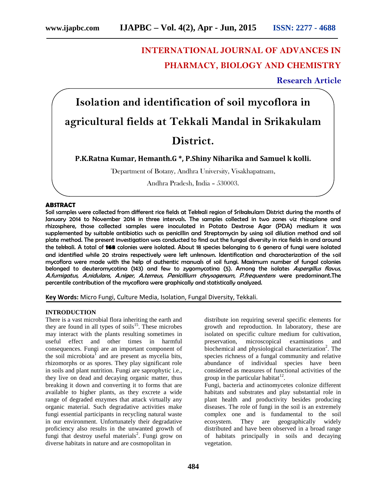# **INTERNATIONAL JOURNAL OF ADVANCES IN PHARMACY, BIOLOGY AND CHEMISTRY**

**Research Article**

**Isolation and identification of soil mycoflora in agricultural fields at Tekkali Mandal in Srikakulam District.**

**P.K.Ratna Kumar, Hemanth.G \*, P.Shiny Niharika and Samuel k kolli.**

<sup>3</sup>Department of Botany, Andhra University, Visakhapatnam,

Andhra Pradesh, India – 530003.

# **ABSTRACT**

Soil samples were collected from different rice fields at Tekkali region of Srikakulam District during the months of January 2014 to November 2014 in three intervals. The samples collected in two zones viz rhizoplane and rhizosphere, those collected samples were inoculated in Potato Dextrose Agar (PDA) medium it was supplemented by suitable antibiotics such as penicillin and Streptomycin by using soil dilution method and soil plate method. The present investigation was conducted to find out the fungal diversity in rice fields in and around the tekkali. A total of **168** colonies were isolated. About 18 species belonging to 6 genera of fungi were isolated and identified while 20 strains respectively were left unknown. Identification and characterization of the soil mycoflora were made with the help of authentic manuals of soil fungi. Maximum number of fungal colonies belonged to deuteromycotina (143) and few to zygomycotina (5). Among the isolates *Aspergillus flavus, A.fumigatus, A.nidulans, A.niger, A.terreus, Penicillium chrysogenum, P.frequentens* were predominant.The percentile contribution of the mycoflora were graphically and statistically analyzed.

**Key Words:** Micro Fungi, Culture Media, Isolation, Fungal Diversity, Tekkali.

#### **INTRODUCTION**

There is a vast microbial flora inheriting the earth and they are found in all types of soils $15$ . These microbes may interact with the plants resulting sometimes in useful effect and other times in harmful consequences. Fungi are an important component of the soil microbiota<sup>1</sup> and are present as mycelia bits, rhizomorphs or as spores. They play significant role in soils and plant nutrition. Fungi are saprophytic i.e., they live on dead and decaying organic matter, thus breaking it down and converting it to forms that are available to higher plants, as they excrete a wide range of degraded enzymes that attack virtually any organic material. Such degradative activities make fungi essential participants in recycling natural waste in our environment. Unfortunately their degradative proficiency also results in the unwanted growth of fungi that destroy useful materials<sup>2</sup>. Fungi grow on diverse habitats in nature and are cosmopolitan in

distribute ion requiring several specific elements for growth and reproduction. In laboratory, these are isolated on specific culture medium for cultivation, preservation, microscopical examinations and biochemical and physiological characterization<sup>2</sup>. The species richness of a fungal community and relative abundance of individual species have been considered as measures of functional activities of the group in the particular habitat $^{12}$ .

Fungi, bacteria and actinomycetes colonize different habitats and substrates and play substantial role in plant health and productivity besides producing diseases. The role of fungi in the soil is an extremely complex one and is fundamental to the soil ecosystem. They are geographically widely distributed and have been observed in a broad range of habitats principally in soils and decaying vegetation.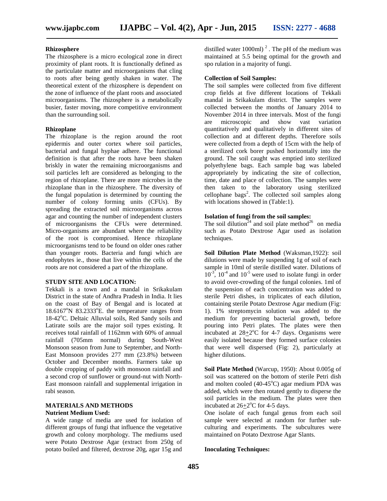# **Rhizosphere**

The rhizosphere is a micro ecological zone in direct proximity of plant roots. It is functionally defined as the particulate matter and microorganisms that cling to roots after being gently shaken in water. The theoretical extent of the rhizosphere is dependent on the zone of influence of the plant roots and associated microorganisms. The rhizosphere is a metabolically busier, faster moving, more competitive environment than the surrounding soil.

# **Rhizoplane**

The rhizoplane is the region around the root epidermis and outer cortex where soil particles, bacterial and fungal hyphae adhere. The functional definition is that after the roots have been shaken briskly in water the remaining microorganisms and soil particles left are considered as belonging to the region of rhizoplane. There are more microbes in the rhizoplane than in the rhizosphere. The diversity of the fungal population is determined by counting the number of colony forming units (CFUs). By spreading the extracted soil microorganisms across agar and counting the number of independent clusters of microorganisms the CFUs were determined. Micro-organisms are abundant where the reliability of the root is compromised. Hence rhizoplane microorganisms tend to be found on older ones rather than younger roots. Bacteria and fungi which are endophytes ie., those that live within the cells of the roots are not considered a part of the rhizoplane.

## **STUDY SITE AND LOCATION:**

Tekkali is a town and a mandal in Srikakulam District in the state of Andhra Pradesh in India. It lies on the coast of Bay of Bengal and is located at  $18.6167^{\circ}$ N 83.2333 $^{\circ}$ E. the temperature ranges from 18-42°C. Deltaic Alluvial soils, Red Sandy soils and Latirate soils are the major soil types existing. It receives total rainfall of 1162mm with 60% of annual rainfall (705mm normal) during South-West Monsoon season from June to September, and North- East Monsoon provides 277 mm (23.8%) between October and December months. Farmers take up double cropping of paddy with monsoon rainfall and a second crop of sunflower or ground-nut with North- East monsoon rainfall and supplemental irrigation in rabi season.

#### **MATERIALS AND METHODS Nutrient Medium Used:**

A wide range of media are used for isolation of different groups of fungi that influence the vegetative growth and colony morphology. The mediums used were Potato Dextrose Agar (extract from 250g of potato boiled and filtered, dextrose 20g, agar 15g and

distilled water 1000ml)<sup>2</sup>. The pH of the medium was maintained at 5.5 being optimal for the growth and spo rulation in a majority of fungi.

#### **Collection of Soil Samples:**

The soil samples were collected from five different crop fields at five different locations of Tekkali mandal in Srikakulam district. The samples were collected between the months of January 2014 to November 2014 in three intervals. Most of the fungi are microscopic and show vast variation quantitatively and qualitatively in different sites of collection and at different depths. Therefore soils were collected from a depth of 15cm with the help of a sterilized cork borer pushed horizontally into the ground. The soil caught was emptied into sterilized polyethylene bags. Each sample bag was labeled appropriately by indicating the site of collection, time, date and place of collection. The samples were then taken to the laboratory using sterilized cellophane bags<sup>2</sup>. The collected soil samples along with locations showed in (Table:1).

# **Isolation of fungi from the soil samples:**

The soil dilution<sup>24</sup> and soil plate method<sup>26</sup> on media such as Potato Dextrose Agar used as isolation techniques.

**Soil Dilution Plate Method** (Waksman,1922): soil dilutions were made by suspending 1g of soil of each sample in 10ml of sterile distilled water. Dilutions of  $10^{-3}$ ,  $10^{-4}$  and  $10^{-5}$  were used to isolate fungi in order to avoid over-crowding of the fungal colonies. 1ml of the suspension of each concentration was added to sterile Petri dishes, in triplicates of each dilution, containing sterile Potato Dextrose Agar medium (Fig: 1). 1% streptomycin solution was added to the medium for preventing bacterial growth, before pouring into Petri plates. The plates were then incubated at  $28 \pm 2^{\circ}$ C for 4-7 days. Organisms were easily isolated because they formed surface colonies that were well dispersed (Fig: 2), particularly at higher dilutions.

**Soil Plate Method** (Warcup, 1950): About 0.005g of soil was scattered on the bottom of sterile Petri dish and molten cooled  $(40-45^{\circ}C)$  agar medium PDA was added, which were then rotated gently to disperse the soil particles in the medium. The plates were then incubated at  $26 \pm 2^{\circ}$ C for 4-5 days.

One isolate of each fungal genus from each soil sample were selected at random for further sub culturing and experiments. The subcultures were maintained on Potato Dextrose Agar Slants.

## **Inoculating Techniques:**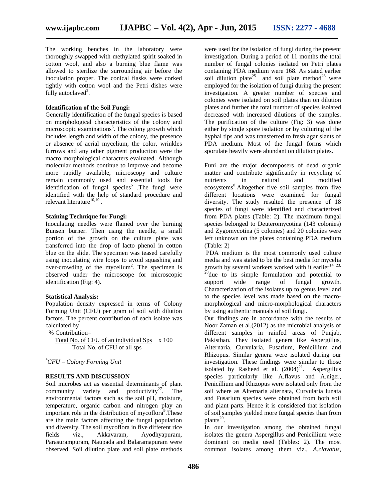The working benches in the laboratory were thoroughly swapped with methylated spirit soaked in cotton wool, and also a burning blue flame was allowed to sterilize the surrounding air before the inoculation proper. The conical flasks were corked tightly with cotton wool and the Petri dishes were fully autoclaved<sup>2</sup>.

#### **Identification of the Soil Fungi:**

Generally identification of the fungal species is based on morphological characteristics of the colony and microscopic examinations<sup>5</sup>. The colony growth which includes length and width of the colony, the presence or absence of aerial mycelium, the color, wrinkles furrows and any other pigment production were the macro morphological characters evaluated. Although molecular methods continue to improve and become more rapidly available, microscopy and culture remain commonly used and essential tools for identification of fungal species<sup>5</sup>. The fungi were identified with the help of standard procedure and relevant literature $^{10,19}$ .

## **Staining Technique for Fungi:**

Inoculating needles were flamed over the burning Bunsen burner. Then using the needle, a small portion of the growth on the culture plate was transferred into the drop of lacto phenol in cotton blue on the slide. The specimen was teased carefully using inoculating wire loops to avoid squashing and over-crowding of the mycelium<sup>2</sup>. The specimen is observed under the microscope for microscopic identification (Fig: 4).

#### **Statistical Analysis:**

Population density expressed in terms of Colony Forming Unit (CFU) per gram of soil with dilution factors. The percent contribution of each isolate was calculated by

% Contribution=

Total No. of CFU of an individual Sps x 100 Total No. of CFU of all sps

# *\*CFU – Colony Forming Unit*

#### **RESULTS AND DISCUSSION**

Soil microbes act as essential determinants of plant community variety and productivity<sup>27</sup>. The environmental factors such as the soil pH, moisture, temperature, organic carbon and nitrogen play an important role in the distribution of mycoflora<sup>9</sup>. These are the main factors affecting the fungal population and diversity. The soil mycoflora in five different rice<br>fields viz., Akkavaram, Ayodhyapuram, fields viz., Akkavaram, Ayodhyapuram, Parasurampuram, Naupada and Balaramapuram were observed. Soil dilution plate and soil plate methods

were used for the isolation of fungi during the present investigation. During a period of 11 months the total number of fungal colonies isolated on Petri plates containing PDA medium were 168. As stated earlier soil dilution plate<sup>25</sup> and soil plate method<sup>26</sup> were employed for the isolation of fungi during the present investigation. A greater number of species and colonies were isolated on soil plates than on dilution plates and further the total number of species isolated decreased with increased dilutions of the samples. The purification of the culture (Fig: 3) was done either by single spore isolation or by culturing of the hyphal tips and was transferred to fresh agar slants of PDA medium. Most of the fungal forms which sporulate heavily were abundant on dilution plates.

Funi are the major decomposers of dead organic matter and contribute significantly in recycling of nutrients in natural and modified ecosystems<sup>8</sup>. Altogether five soil samples from five different locations were examined for fungal diversity. The study resulted the presence of 18 species of fungi were identified and characterized from PDA plates (Table: 2). The maximum fungal species belonged to Deuteromycotina (143 colonies) and Zygomycotina (5 colonies) and 20 colonies were left unknown on the plates containing PDA medium (Table: 2)

PDA medium is the most commonly used culture media and was stated to be the best media for mycelia growth by several workers worked with it earlier<sup>14, 23, 28</sup>due to its simple formulation and potential to support wide range of fungal growth. Characterization of the isolates up to genus level and to the species level was made based on the macro morphological and micro-morphological characters by using authentic manuals of soil fungi.

Our findings are in accordance with the results of Noor Zaman et al.(2012) as the microbial analysis of different samples in rainfed areas of Punjab, Pakisthan. They isolated genera like Aspergillus, Alternaria, Curvularia, Fusarium, Penicillium and Rhizopus. Similar genera were isolated during our investigation. These findings were similar to those isolated by Rasheed et al.  $(2004)^{21}$ . Aspergillus species particularly like A.flavus and A.niger, Penicillium and Rhizopus were isolated only from the soil where as Alternaria alternata, Curvularia lunata and Fusarium species were obtained from both soil and plant parts. Hence it is considered that isolation of soil samples yielded more fungal species than from  $plants<sup>20</sup>$ .

In our investigation among the obtained fungal isolates the genera Aspergillus and Penicillium were dominant on media used (Tables: 2). The most common isolates among them viz., *A.clavatus,*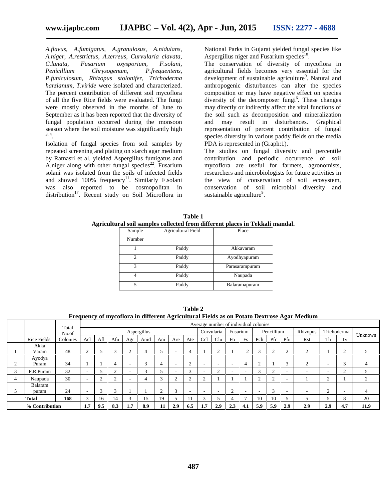*A.flavus, A.fumigatus, A.granulosus, A.nidulans, A.niger, A.restrictus, A.terreus, Curvularia clavata, C.lunata, Fusarium oxysporium, Penicillium Chrysogenum, P.frequentens, P.funiculosum, Rhizopus stolonifer, Trichoderma harzianum, T.viride* were isolated and characterized. The percent contribution of different soil mycoflora of all the five Rice fields were evaluated. The fungi were mostly observed in the months of June to September as it has been reported that the diversity of fungal population occurred during the monsoon season where the soil moisture was significantly high 3, 4 .

Isolation of fungal species from soil samples by repeated screening and plating on starch agar medium by Ratnasri et al. yielded Aspergillus fumigatus and A.niger along with other fungal species<sup>22</sup>. Fusarium solani was isolated from the soils of infected fields and showed 100% frequency<sup>11</sup>. Similarly F.solani was also reported to be cosmopolitan in distribution<sup>17</sup>. Recent study on Soil Microflora in

National Parks in Gujarat yielded fungal species like Aspergillus niger and Fusarium species<sup>18</sup>.

The conservation of diversity of mycoflora in agricultural fields becomes very essential for the development of sustainable agriculture<sup>9</sup>. Natural and anthropogenic disturbances can alter the species composition or may have negative effect on species diversity of the decomposer fungi<sup>6</sup>. These changes may directly or indirectly affect the vital functions of the soil such as decomposition and mineralization and may result in disturbances. Graphical representation of percent contribution of fungal species diversity in various paddy fields on the media PDA is represented in (Graph:1).

The studies on fungal diversity and percentile contribution and periodic occurrence of soil mycoflora are useful for farmers, agronomists, researchers and microbiologists for future activities in the view of conservation of soil ecosystem, conservation of soil microbial diversity and sustainable agriculture<sup>9</sup>.

| Table 1                                                                      |  |
|------------------------------------------------------------------------------|--|
| Agricultural soil samples collected from different places in Tekkali mandal. |  |

| Sample         | <b>Agricultural Field</b> | Place          |
|----------------|---------------------------|----------------|
| Number         |                           |                |
|                | Paddy                     | Akkavaram      |
| $\mathfrak{D}$ | Paddy                     | Ayodhyapuram   |
| 3              | Paddy                     | Parasarampuram |
|                | Paddy                     | Naupada        |
|                | Paddy                     | Balaramapuram  |
|                |                           |                |

|                |                    |                |                                       |             |               |            |        |     |                          |                        |     |        |                          |                |        |                         |             | Prequency of investigation and unterfeat Agricultural Pielus as on Fotato Dextrose Agar Medium |             |          |      |
|----------------|--------------------|----------------|---------------------------------------|-------------|---------------|------------|--------|-----|--------------------------|------------------------|-----|--------|--------------------------|----------------|--------|-------------------------|-------------|------------------------------------------------------------------------------------------------|-------------|----------|------|
|                |                    |                | Average number of individual colonies |             |               |            |        |     |                          |                        |     |        |                          |                |        |                         |             |                                                                                                |             |          |      |
|                |                    | Total<br>No.of |                                       | Aspergillus |               |            |        |     |                          | Curvularia<br>Fusarium |     |        | Pencillium               |                |        | Rhizopus                | Trichoderma |                                                                                                | Unknown     |          |      |
|                | <b>Rice Fields</b> | Colonies       | Acl                                   | Afl         | Afu           | Agr        | Anid   | Ani | Are                      | Ate                    | Ccl | Clu    | Fo                       | Fs             | Pch    | Pfr                     | Pfu         | Rst                                                                                            | Th          | Tv       |      |
|                | Akka<br>Varam      | 48             |                                       |             | 3             | $\sim$     | 4      |     | $\overline{\phantom{a}}$ | 4                      |     | $\sim$ |                          |                |        |                         | ◠<br>∠      | ◠                                                                                              |             |          |      |
|                | Ayodya<br>Puram    | 34             |                                       |             | 4             |            | $\sim$ |     | -                        | ◠                      |     |        | $\overline{\phantom{a}}$ |                |        |                         | $\sqrt{2}$  | ◠                                                                                              |             |          |      |
|                | P.R.Puram          | 32             |                                       |             | $\sim$        |            | $\sim$ |     |                          | $\mathbf{R}$           |     | $\sim$ |                          |                | $\sim$ | $\bigcap$               |             |                                                                                                |             | $\sim$   |      |
| $\overline{4}$ | Naupada            | 30             |                                       | ◠           | ി             |            | 4      |     | $\sim$<br>∠              | $\bigcap$              |     |        |                          |                | $\sim$ | $\Omega$                |             |                                                                                                | $\sim$<br>∠ |          |      |
|                | Balaram<br>puram   | 24             |                                       | ◠           | $\mathcal{R}$ |            |        |     | 3                        |                        |     |        |                          |                |        | $\mathbf{\overline{3}}$ |             |                                                                                                | ∠           |          |      |
|                | <b>Total</b>       | 168            | $\sim$                                | 16          | 14            | $\sqrt{2}$ | 15     | 19  |                          |                        |     |        |                          | $\overline{ }$ | 10     | 10                      |             |                                                                                                |             | $\Omega$ | 20   |
|                | % Contribution     |                | 1.7                                   | 9.5         | 8.3           | 1.7        | 8.9    |     | 2.9                      | 6.5                    | 1.7 | 2.9    | 2.3                      | 4.1            | 5.9    | 5.9                     | 2.9         | 2.9                                                                                            | 2.9         | 4.7      | 11.9 |

**Table 2 Frequency of mycoflora in different Agricultural Fields as on Potato Dextrose Agar Medium**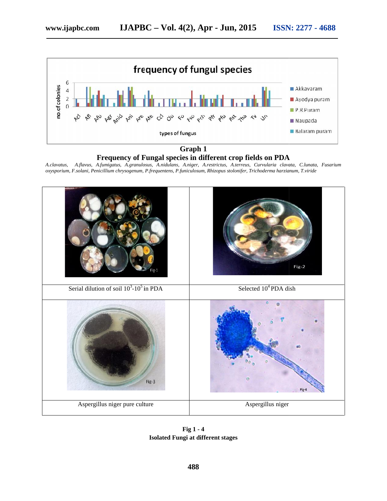

**Graph 1 Graph 1 Frequency of Fungal species in different crop fields on PDA**

*A.clavatus, A.flavus, A.fumigatus, A.granulosus, A.nidulans, A.niger, A.restrictus, A.terreus, Curvularia clavata, C.lunata, Fusarium* A.clavatus, A.flavus, A.fumigatus, A.granulosus, A.nidulans, A.niger, A.restrictus, A.terreus, Curvularia clavata, C.lunata, Fusar<br>oxysporium,F.solani,Penicilliumchrysogenum,P.frequentens,P.funiculosum,Rhizopus-stolonifer,



**Fig 1 - 4 Isolated Fungi at different stages**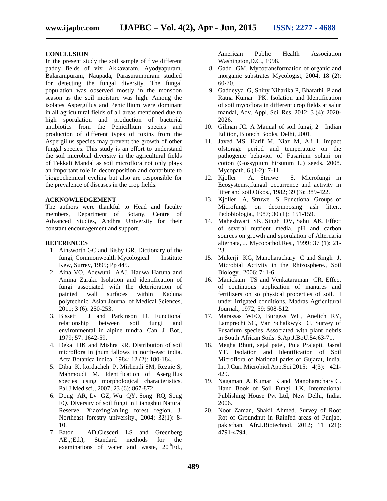#### **CONCLUSION**

In the present study the soil sample of five different paddy fields of viz; Akkavaram, Ayodyapuram, Balarampuram, Naupada, Parasurampuram studied for detecting the fungal diversity. The fungal population was observed mostly in the monsoon season as the soil moisture was high. Among the isolates Aspergillus and Penicillium were dominant in all agricultural fields of all areas mentioned due to high sporulation and production of bacterial antibiotics from the Penicillium species and production of different types of toxins from the Aspergillus species may prevent the growth of other fungal species. This study is an effort to understand the soil microbial diversity in the agricultural fields of Tekkali Mandal as soil microflora not only plays an important role in decomposition and contribute to biogeochemical cycling but also are responsible for the prevalence of diseases in the crop fields.

# **ACKNOWLEDGEMENT**

The authors were thankful to Head and faculty members, Department of Botany, Centre of Advanced Studies, Andhra University for their constant encouragement and support.

## **REFERENCES**

- 1. Ainsworth GC and Bisby GR. Dictionary of the fungi, Commonwealth Mycological Institute Kew, Surrey, 1995; Pp 445.
- 2. Aina VO, Adewuni AAJ, Hauwa Haruna and Amina Zaraki. Isolation and identification of fungi associated with the deterioration of painted wall surfaces within Kaduna polytechnic. Asian Journal of Medical Sciences, 2011; 3 (6): 250-253.
- 3. Bissett J and Parkinson D. Functional relationship between soil fungi and environmental in alpine tundra. Can. J .Bot., 1979; 57: 1642-59.
- 4. Deka HK and Mishra RR. Distribution of soil microflora in jhum fallows in north-east india. Acta Botanica Indica, 1984; 12 (2): 180-184.
- 5. Diba K, kordacheh P, Mirhendi SM, Rezaie S, Mahmoudi M. Identification of Asergillus species using morphological characteristics. Pal.J.Med.sci., 2007; 23 (6): 867-872.
- 6. Dong AR, Lv GZ, Wu QY, Song RQ, Song FQ. Diversity of soil fungi in Liangshui Natural Reserve, Xiaoxing'anling forest region, J. Northeast forestry university., 2004; 32(1): 8- 10.
- 7. Eaton AD,Clesceri LS and Greenberg AE.,(Ed.), Standard methods for the examinations of water and waste,  $20^{th}$ Ed.,

American Public Health Association Washington,D.C., 1998.

- 8. Gadd GM. Mycotransformation of organic and inorganic substrates Mycologist, 2004; 18 (2): 60-70.
- 9. Gaddeyya G, Shiny Niharika P, Bharathi P and Ratna Kumar PK. Isolation and Identification of soil mycoflora in different crop fields at salur mandal, Adv. Appl. Sci. Res, 2012; 3 (4): 2020- 2026.
- 10. Gilman JC. A Manual of soil fungi,  $2<sup>nd</sup>$  Indian Edition, Biotech Books, Delhi, 2001.
- 11. Javed MS, Harif M, Niaz M, Ali I. Impact ofstorage period and temperature on the pathogenic behavior of Fusarium solani on cotton (Gossypium hirsutum L.) seeds. 2008. Mycopath. 6 (1-2): 7-11.
- 12. Kjoller A, Struwe S. Microfungi in Ecosystems.,fungal occurrence and activity in litter and soil,Oikos., 1982; 39 (3): 389-422.
- 13. Kjoller A, Struwe S. Functional Groups of Microfungi on decomposing ash litter., Pedobiologia., 1987; 30 (1): 151-159.
- 14. Maheshwari SK, Singh DV, Sahu AK. Effect of several nutrient media, pH and carbon sources on growth and sporulation of Alternaria alternata, J. Mycopathol.Res., 1999; 37 (1): 21- 23.
- 15. Mukerji KG, Manoharachary C and Singh J. Microbial Activity in the Rhizosphere., Soil Biology., 2006; 7: 1-6.
- 16. Manickam TS and Venkataraman CR. Effect of continuous application of manures and fertilizers on so physical properties of soil. II under irrigated conditions. Madras Agricultural Journal., 1972; 59: 508-512.
- 17. Marassas WFO, Burgess WL, Anelich RY, Lamprechi SC, Van Schalkwyk DJ. Survey of Fusarium species Associated with plant debris in South African Soils. S.Ap:J.BoU.54:63-71.
- 18. Megha Bhutt, sejal patel, Puja Prajapti, Jasral YT. Isolation and Identification of Soil Microflora of National parks of Gujarat, India. Int.J.Curr.Microbiol.App.Sci.2015; 4(3): 421- 429.
- 19. Nagamani A, Kumar IK and Manoharachary C. Hand Book of Soil Fungi, I.K. International Publishing House Pvt Ltd, New Delhi, India. 2006.
- 20. Noor Zaman, Shakil Ahmed. Survey of Root Rot of Groundnut in Rainfed areas of Punjab, pakisthan. Afr.J.Biotechnol. 2012; 11 (21): 4791-4794.